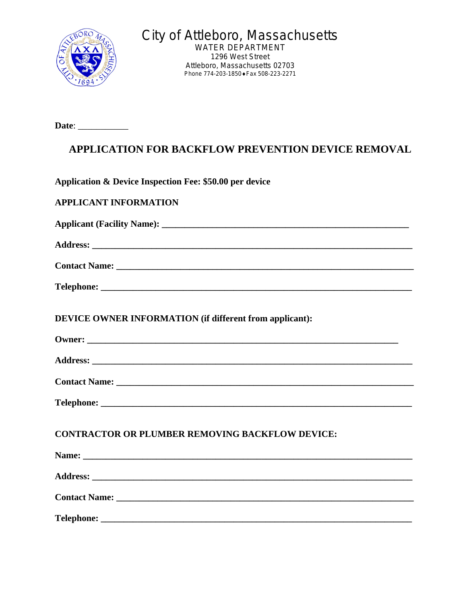

City of Attleboro, Massachusetts

WATER DEPARTMENT 1296 West Street Attleboro, Massachusetts 02703 Phone 774-203-1850 • Fax 508-223-2271

**Date**: \_\_\_\_\_\_\_\_\_\_\_

## **APPLICATION FOR BACKFLOW PREVENTION DEVICE REMOVAL**

**Application & Device Inspection Fee: \$50.00 per device**

| <b>APPLICANT INFORMATION</b>                                   |
|----------------------------------------------------------------|
|                                                                |
|                                                                |
|                                                                |
|                                                                |
| <b>DEVICE OWNER INFORMATION (if different from applicant):</b> |
|                                                                |
|                                                                |
|                                                                |
|                                                                |
| <b>CONTRACTOR OR PLUMBER REMOVING BACKFLOW DEVICE:</b>         |
|                                                                |
|                                                                |
| Contact Name: Name:                                            |
|                                                                |